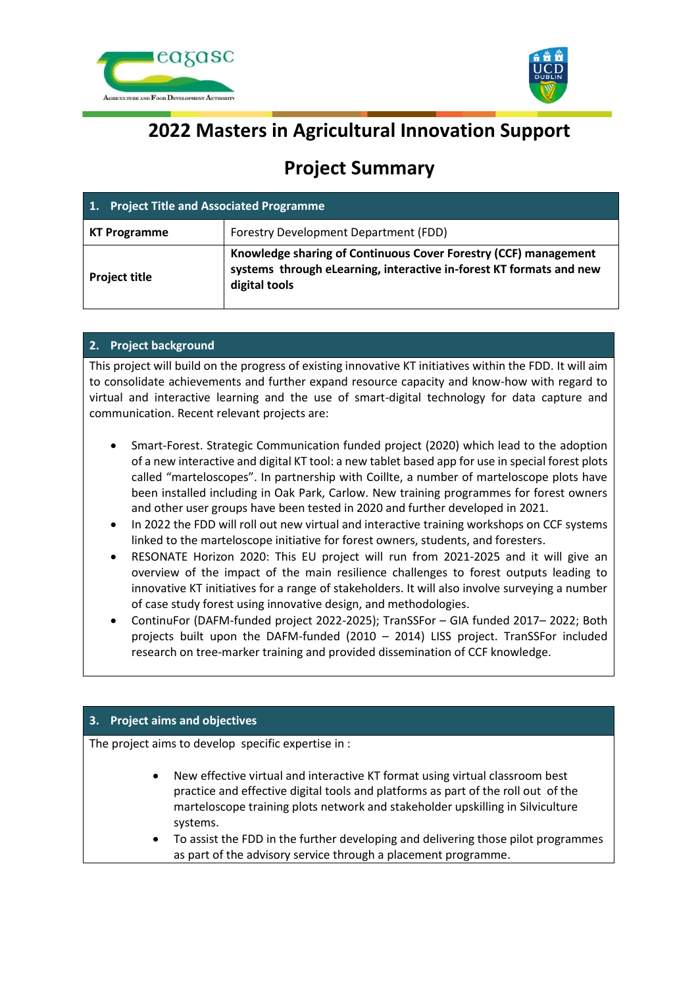



# **2022 Masters in Agricultural Innovation Support**

# **Project Summary**

| 1. Project Title and Associated Programme |                                                                                                                                                         |
|-------------------------------------------|---------------------------------------------------------------------------------------------------------------------------------------------------------|
| <b>KT Programme</b>                       | Forestry Development Department (FDD)                                                                                                                   |
| <b>Project title</b>                      | Knowledge sharing of Continuous Cover Forestry (CCF) management<br>systems through eLearning, interactive in-forest KT formats and new<br>digital tools |

## **2. Project background**

This project will build on the progress of existing innovative KT initiatives within the FDD. It will aim to consolidate achievements and further expand resource capacity and know-how with regard to virtual and interactive learning and the use of smart-digital technology for data capture and communication. Recent relevant projects are:

- Smart-Forest. Strategic Communication funded project (2020) which lead to the adoption of a new interactive and digital KT tool: a new tablet based app for use in special forest plots called "marteloscopes". In partnership with Coillte, a number of marteloscope plots have been installed including in Oak Park, Carlow. New training programmes for forest owners and other user groups have been tested in 2020 and further developed in 2021.
- In 2022 the FDD will roll out new virtual and interactive training workshops on CCF systems linked to the marteloscope initiative for forest owners, students, and foresters.
- RESONATE Horizon 2020: This EU project will run from 2021-2025 and it will give an overview of the impact of the main resilience challenges to forest outputs leading to innovative KT initiatives for a range of stakeholders. It will also involve surveying a number of case study forest using innovative design, and methodologies.
- ContinuFor (DAFM-funded project 2022-2025); TranSSFor GIA funded 2017– 2022; Both projects built upon the DAFM-funded (2010 – 2014) LISS project. TranSSFor included research on tree-marker training and provided dissemination of CCF knowledge.

### **3. Project aims and objectives**

The project aims to develop specific expertise in :

- New effective virtual and interactive KT format using virtual classroom best practice and effective digital tools and platforms as part of the roll out of the marteloscope training plots network and stakeholder upskilling in Silviculture systems.
- To assist the FDD in the further developing and delivering those pilot programmes as part of the advisory service through a placement programme.